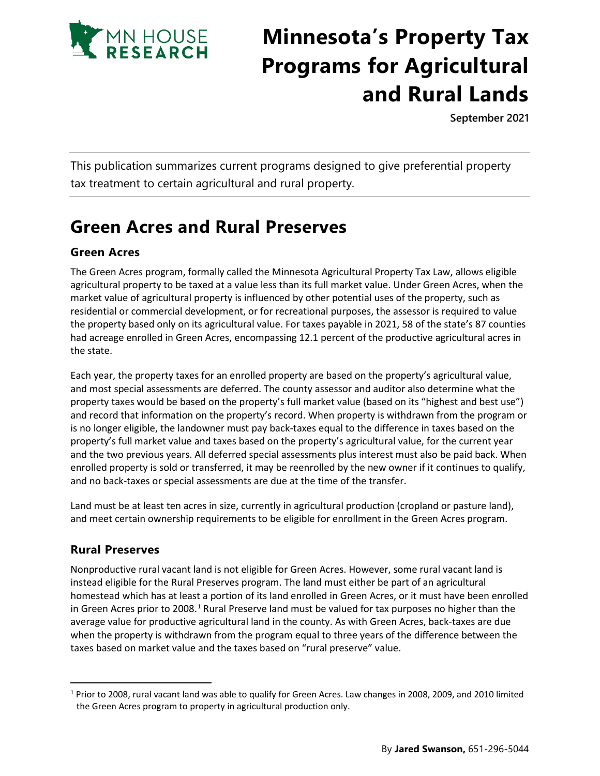

# **Minnesota's Property Tax Programs for Agricultural and Rural Lands**

**September 2021**

This publication summarizes current programs designed to give preferential property tax treatment to certain agricultural and rural property.

# **Green Acres and Rural Preserves**

## **Green Acres**

The Green Acres program, formally called the Minnesota Agricultural Property Tax Law, allows eligible agricultural property to be taxed at a value less than its full market value. Under Green Acres, when the market value of agricultural property is influenced by other potential uses of the property, such as residential or commercial development, or for recreational purposes, the assessor is required to value the property based only on its agricultural value. For taxes payable in 2021, 58 of the state's 87 counties had acreage enrolled in Green Acres, encompassing 12.1 percent of the productive agricultural acres in the state.

Each year, the property taxes for an enrolled property are based on the property's agricultural value, and most special assessments are deferred. The county assessor and auditor also determine what the property taxes would be based on the property's full market value (based on its "highest and best use") and record that information on the property's record. When property is withdrawn from the program or is no longer eligible, the landowner must pay back-taxes equal to the difference in taxes based on the property's full market value and taxes based on the property's agricultural value, for the current year and the two previous years. All deferred special assessments plus interest must also be paid back. When enrolled property is sold or transferred, it may be reenrolled by the new owner if it continues to qualify, and no back-taxes or special assessments are due at the time of the transfer.

Land must be at least ten acres in size, currently in agricultural production (cropland or pasture land), and meet certain ownership requirements to be eligible for enrollment in the Green Acres program.

### **Rural Preserves**

Nonproductive rural vacant land is not eligible for Green Acres. However, some rural vacant land is instead eligible for the Rural Preserves program. The land must either be part of an agricultural homestead which has at least a portion of its land enrolled in Green Acres, or it must have been enrolled in Green Acres prior to 2008.<sup>[1](#page-0-0)</sup> Rural Preserve land must be valued for tax purposes no higher than the average value for productive agricultural land in the county. As with Green Acres, back-taxes are due when the property is withdrawn from the program equal to three years of the difference between the taxes based on market value and the taxes based on "rural preserve" value.

<span id="page-0-0"></span><sup>1</sup> Prior to 2008, rural vacant land was able to qualify for Green Acres. Law changes in 2008, 2009, and 2010 limited the Green Acres program to property in agricultural production only.